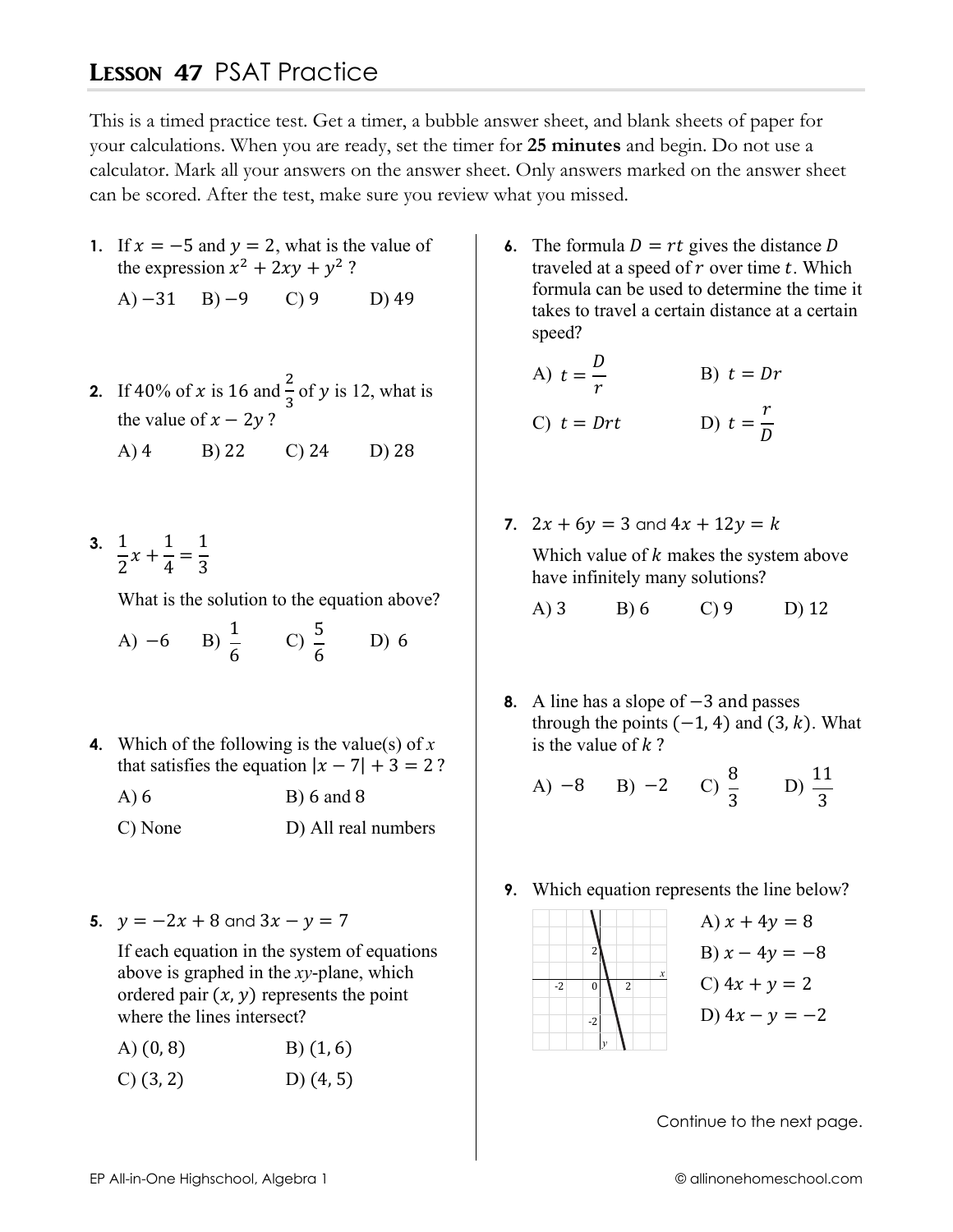## **LESSON 47 PSAT Practice**

This is a timed practice test. Get a timer, a bubble answer sheet, and blank sheets of paper for your calculations. When you are ready, set the timer for 25 minutes and begin. Do not use a calculator. Mark all your answers on the answer sheet. Only answers marked on the answer sheet can be scored. After the test, make sure you review what you missed.

- 1. If  $x = -5$  and  $y = 2$ , what is the value of the expression  $x^2 + 2xy + y^2$ ?
	- $(A) -31$  B) -9  $C$ ) 9 D) 49
- 2. If 40% of x is 16 and  $\frac{2}{3}$  of y is 12, what is the value of  $x - 2y$ ?
	- $A)$  4 B) 22 C)  $24$ D) 28
- 3.  $\frac{1}{2}x + \frac{1}{4} = \frac{1}{3}$

What is the solution to the equation above?

| $A) -6$ | $(B) \frac{1}{6}$ | $C) \frac{5}{6}$ | D) 6 |
|---------|-------------------|------------------|------|
|---------|-------------------|------------------|------|

4. Which of the following is the value(s) of x that satisfies the equation  $|x - 7| + 3 = 2$ ?

| A)6     | $B) 6$ and $8$      |
|---------|---------------------|
| C) None | D) All real numbers |

5.  $y = -2x + 8$  and  $3x - y = 7$ 

If each equation in the system of equations above is graphed in the xy-plane, which ordered pair  $(x, y)$  represents the point where the lines intersect?

- $(A)$   $(0, 8)$  $B(1, 6)$
- $C(3, 2)$ D)  $(4, 5)$

6. The formula  $D = rt$  gives the distance D traveled at a speed of  $r$  over time  $t$ . Which formula can be used to determine the time it takes to travel a certain distance at a certain speed?

A) 
$$
t = \frac{D}{r}
$$
  
\nB)  $t = Dr$   
\nC)  $t = Drt$   
\nD)  $t = \frac{r}{D}$ 

7. 
$$
2x + 6y = 3
$$
 and  $4x + 12y = k$ \n\nWhich value of *k* makes the system above have infinitely many solutions?

 $A)$  3  $B) 6$  $C$ ) 9  $D)$  12

8. A line has a slope of  $-3$  and passes through the points  $(-1, 4)$  and  $(3, k)$ . What is the value of  $k$ ?

A) -8 B) -2 C) 
$$
\frac{8}{3}
$$
 D)  $\frac{11}{3}$ 

**9.** Which equation represents the line below?



A)  $x + 4y = 8$ B)  $x - 4y = -8$ C)  $4x + y = 2$ D)  $4x - y = -2$ 

Continue to the next page.